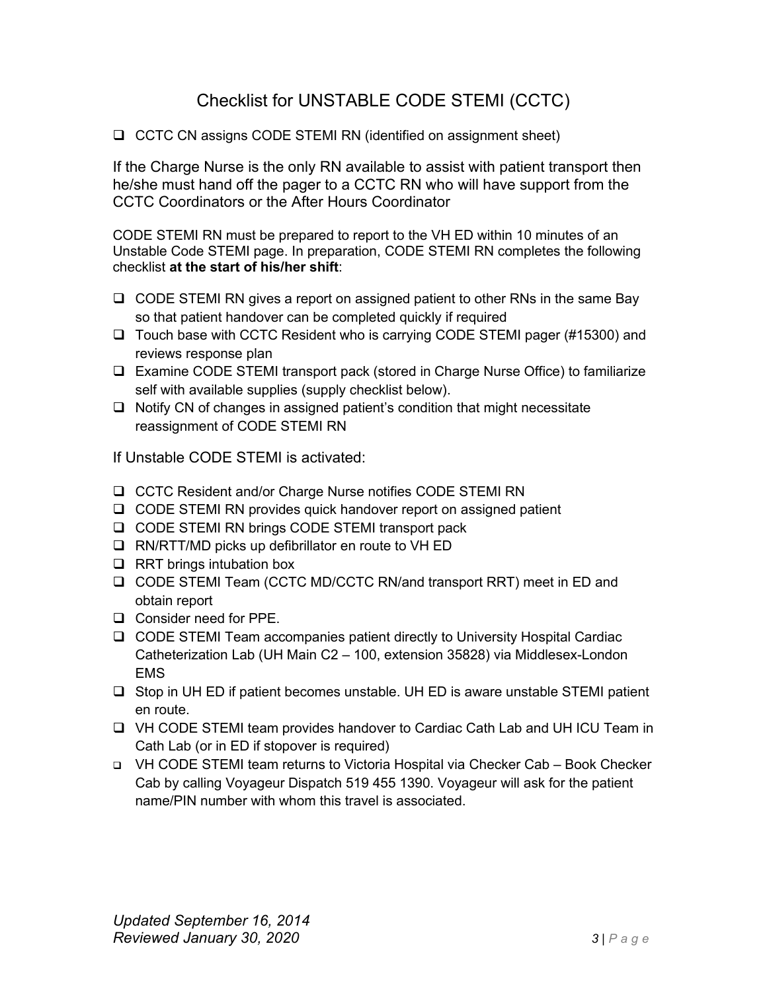## Checklist for UNSTABLE CODE STEMI (CCTC)

❑ CCTC CN assigns CODE STEMI RN (identified on assignment sheet)

If the Charge Nurse is the only RN available to assist with patient transport then he/she must hand off the pager to a CCTC RN who will have support from the CCTC Coordinators or the After Hours Coordinator

CODE STEMI RN must be prepared to report to the VH ED within 10 minutes of an Unstable Code STEMI page. In preparation, CODE STEMI RN completes the following checklist **at the start of his/her shift**:

- ❑ CODE STEMI RN gives a report on assigned patient to other RNs in the same Bay so that patient handover can be completed quickly if required
- ❑ Touch base with CCTC Resident who is carrying CODE STEMI pager (#15300) and reviews response plan
- ❑ Examine CODE STEMI transport pack (stored in Charge Nurse Office) to familiarize self with available supplies (supply checklist below).
- ❑ Notify CN of changes in assigned patient's condition that might necessitate reassignment of CODE STEMI RN

If Unstable CODE STEMI is activated:

- ❑ CCTC Resident and/or Charge Nurse notifies CODE STEMI RN
- ❑ CODE STEMI RN provides quick handover report on assigned patient
- ❑ CODE STEMI RN brings CODE STEMI transport pack
- ❑ RN/RTT/MD picks up defibrillator en route to VH ED
- ❑ RRT brings intubation box
- ❑ CODE STEMI Team (CCTC MD/CCTC RN/and transport RRT) meet in ED and obtain report
- ❑ Consider need for PPE.
- ❑ CODE STEMI Team accompanies patient directly to University Hospital Cardiac Catheterization Lab (UH Main C2 – 100, extension 35828) via Middlesex-London EMS
- ❑ Stop in UH ED if patient becomes unstable. UH ED is aware unstable STEMI patient en route.
- ❑ VH CODE STEMI team provides handover to Cardiac Cath Lab and UH ICU Team in Cath Lab (or in ED if stopover is required)
- ❑ VH CODE STEMI team returns to Victoria Hospital via Checker Cab Book Checker Cab by calling Voyageur Dispatch 519 455 1390. Voyageur will ask for the patient name/PIN number with whom this travel is associated.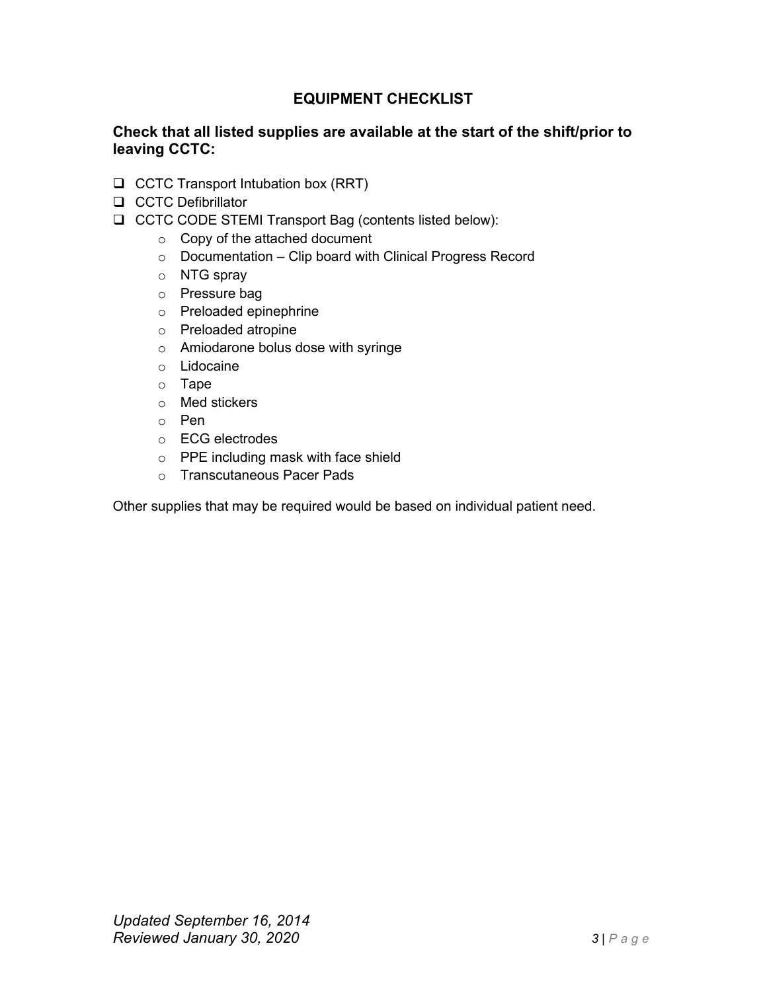## **EQUIPMENT CHECKLIST**

## **Check that all listed supplies are available at the start of the shift/prior to leaving CCTC:**

- ❑ CCTC Transport Intubation box (RRT)
- ❑ CCTC Defibrillator
- ❑ CCTC CODE STEMI Transport Bag (contents listed below):
	- o Copy of the attached document
	- $\circ$  Documentation Clip board with Clinical Progress Record
	- o NTG spray
	- o Pressure bag
	- o Preloaded epinephrine
	- o Preloaded atropine
	- o Amiodarone bolus dose with syringe
	- o Lidocaine
	- o Tape
	- o Med stickers
	- o Pen
	- o ECG electrodes
	- o PPE including mask with face shield
	- o Transcutaneous Pacer Pads

Other supplies that may be required would be based on individual patient need.